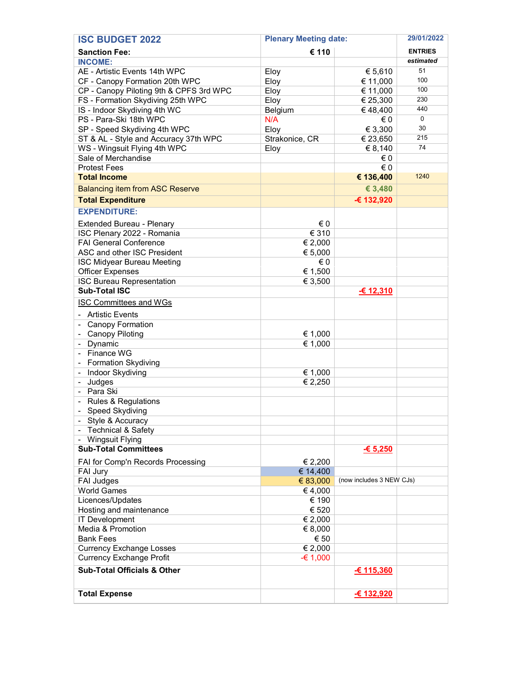| <b>ISC BUDGET 2022</b>                           | <b>Plenary Meeting date:</b> |                          | 29/01/2022     |
|--------------------------------------------------|------------------------------|--------------------------|----------------|
| <b>Sanction Fee:</b>                             | € 110                        |                          | <b>ENTRIES</b> |
| <b>INCOME:</b>                                   |                              |                          | estimated      |
| AE - Artistic Events 14th WPC                    | Eloy                         | € 5,610                  | 51             |
| CF - Canopy Formation 20th WPC                   | Eloy                         | € 11,000                 | 100            |
| CP - Canopy Piloting 9th & CPFS 3rd WPC          | Eloy                         | € 11,000                 | 100            |
| FS - Formation Skydiving 25th WPC                | Eloy                         | € 25,300                 | 230            |
| IS - Indoor Skydiving 4th WC                     | Belgium                      | €48,400                  | 440            |
| PS - Para-Ski 18th WPC                           | N/A                          | € 0                      | $\mathbf 0$    |
| SP - Speed Skydiving 4th WPC                     | Eloy                         | € 3,300                  | 30             |
| ST & AL - Style and Accuracy 37th WPC            | Strakonice, CR               | € 23,650                 | 215            |
| WS - Wingsuit Flying 4th WPC                     | Eloy                         | € 8,140                  | 74             |
| Sale of Merchandise                              |                              | €0                       |                |
| <b>Protest Fees</b>                              |                              | € 0                      |                |
| <b>Total Income</b>                              |                              | € 136,400                | 1240           |
| <b>Balancing item from ASC Reserve</b>           |                              | € 3,480                  |                |
| <b>Total Expenditure</b>                         |                              | € 132,920                |                |
| <b>EXPENDITURE:</b>                              |                              |                          |                |
| Extended Bureau - Plenary                        | €0                           |                          |                |
| ISC Plenary 2022 - Romania                       | € 310                        |                          |                |
| <b>FAI General Conference</b>                    | € 2,000                      |                          |                |
| ASC and other ISC President                      | € 5,000                      |                          |                |
| <b>ISC Midyear Bureau Meeting</b>                | $\in 0$                      |                          |                |
| <b>Officer Expenses</b>                          | $\overline{\epsilon}$ 1,500  |                          |                |
| <b>ISC Bureau Representation</b>                 | € 3,500                      |                          |                |
| <b>Sub-Total ISC</b>                             |                              | € 12,310                 |                |
|                                                  |                              |                          |                |
| <b>ISC Committees and WGs</b>                    |                              |                          |                |
| <b>Artistic Events</b>                           |                              |                          |                |
| Canopy Formation                                 |                              |                          |                |
| <b>Canopy Piloting</b>                           | € 1,000                      |                          |                |
| Dynamic                                          | € 1,000                      |                          |                |
| - Finance WG                                     |                              |                          |                |
| Formation Skydiving                              |                              |                          |                |
| Indoor Skydiving                                 | € 1,000                      |                          |                |
| Judges<br>$\overline{\phantom{a}}$               | € 2,250                      |                          |                |
| Para Ski                                         |                              |                          |                |
| <b>Rules &amp; Regulations</b>                   |                              |                          |                |
| Speed Skydiving                                  |                              |                          |                |
| - Style & Accuracy<br>- Technical & Safety       |                              |                          |                |
|                                                  |                              |                          |                |
| - Wingsuit Flying<br><b>Sub-Total Committees</b> |                              | $-65,250$                |                |
|                                                  |                              |                          |                |
| FAI for Comp'n Records Processing                | € 2,200                      |                          |                |
| FAI Jury                                         | € 14,400                     |                          |                |
| <b>FAI Judges</b>                                | € 83,000                     | (now includes 3 NEW CJs) |                |
| <b>World Games</b>                               | €4,000                       |                          |                |
| Licences/Updates                                 | € 190                        |                          |                |
| Hosting and maintenance                          | € 520                        |                          |                |
| IT Development                                   | € 2,000                      |                          |                |
| Media & Promotion                                | € 8,000                      |                          |                |
| <b>Bank Fees</b>                                 | € 50                         |                          |                |
| <b>Currency Exchange Losses</b>                  | € 2,000                      |                          |                |
| <b>Currency Exchange Profit</b>                  | $-61,000$                    |                          |                |
| <b>Sub-Total Officials &amp; Other</b>           |                              | $-6$ 115,360             |                |
|                                                  |                              |                          |                |
| <b>Total Expense</b>                             |                              | € 132,920                |                |